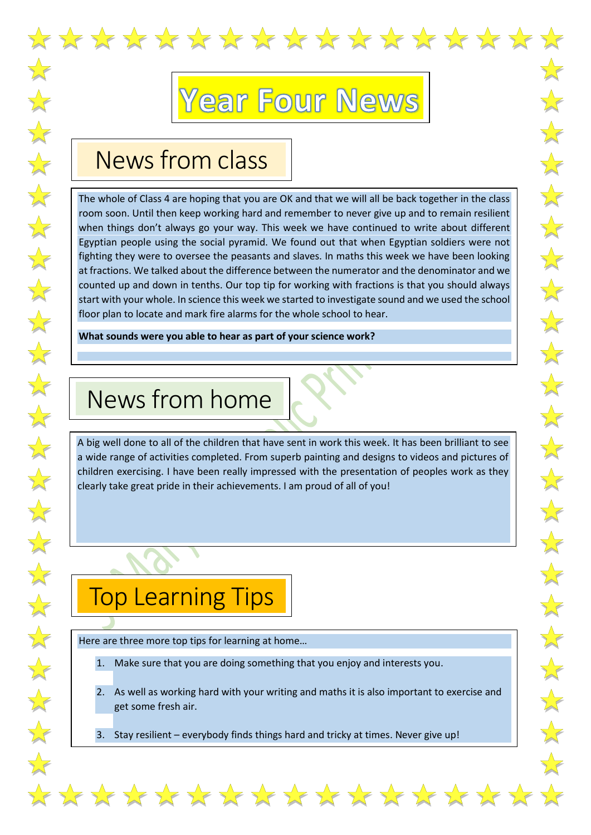

## ear Four News

## News from class

The whole of Class 4 are hoping that you are OK and that we will all be back together in the class room soon. Until then keep working hard and remember to never give up and to remain resilient when things don't always go your way. This week we have continued to write about different Egyptian people using the social pyramid. We found out that when Egyptian soldiers were not fighting they were to oversee the peasants and slaves. In maths this week we have been looking at fractions. We talked about the difference between the numerator and the denominator and we counted up and down in tenths. Our top tip for working with fractions is that you should always start with your whole. In science this week we started to investigate sound and we used the school floor plan to locate and mark fire alarms for the whole school to hear.

**What sounds were you able to hear as part of your science work?**

## News from home

A big well done to all of the children that have sent in work this week. It has been brilliant to see a wide range of activities completed. From superb painting and designs to videos and pictures of children exercising. I have been really impressed with the presentation of peoples work as they clearly take great pride in their achievements. I am proud of all of you!

## Top Learning Tips

Here are three more top tips for learning at home…

- 1. Make sure that you are doing something that you enjoy and interests you.
- 2. As well as working hard with your writing and maths it is also important to exercise and get some fresh air.

\*\*\*\*\*\*\*\*\*\*\*\*\*\*\*\*

3. Stay resilient – everybody finds things hard and tricky at times. Never give up!